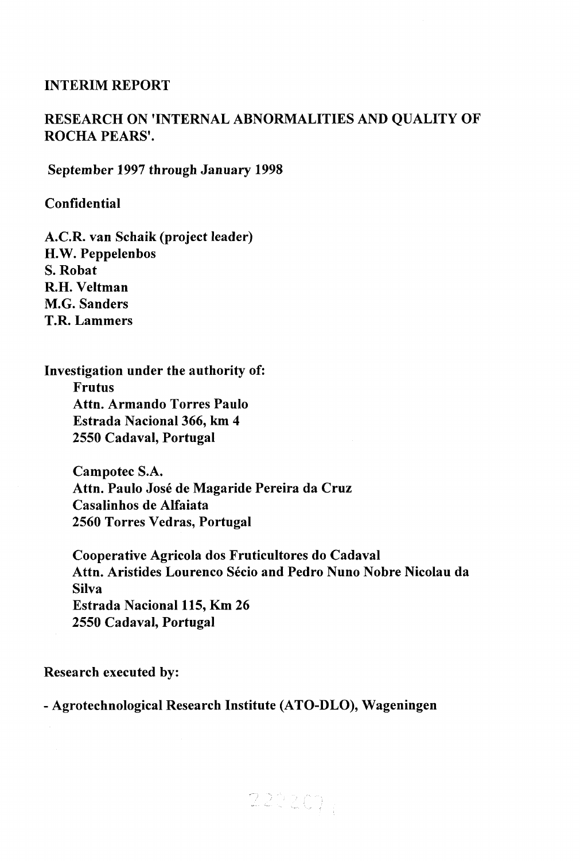# **INTERIM REPORT**

# **RESEARCH ON 'INTERNAL ABNORMALITIES AND QUALITY OF ROCHA PEARS'.**

**September 1997 through January 1998** 

**Confidential** 

**A.C.R. van Schaik (project leader) H.W. Peppelenbos S. Robat R.H. Veltman M.G. Sanders T.R. Lammers** 

**Investigation under the authority of: Frutus Attn. Armando Torres Paulo Estrada Nacional 366, km 4 2550 Cadaval, Portugal** 

> **Campotec S.A. Attn. Paulo José de Magaride Pereira da Cruz Casalinhos de Alfaiata 2560 Torres Vedras, Portugal**

**Cooperative Agricola dos Fruticultores do Cadaval Attn. Aristides Lourenco Sécio and Pedro Nuno Nobre Nicolau da Silva Estrada Nacional 115, Km 26 2550 Cadaval, Portugal** 

 $22220$ 

**Research executed by:** 

**- Agrotechnological Research Institute (ATO-DLO), Wageningen**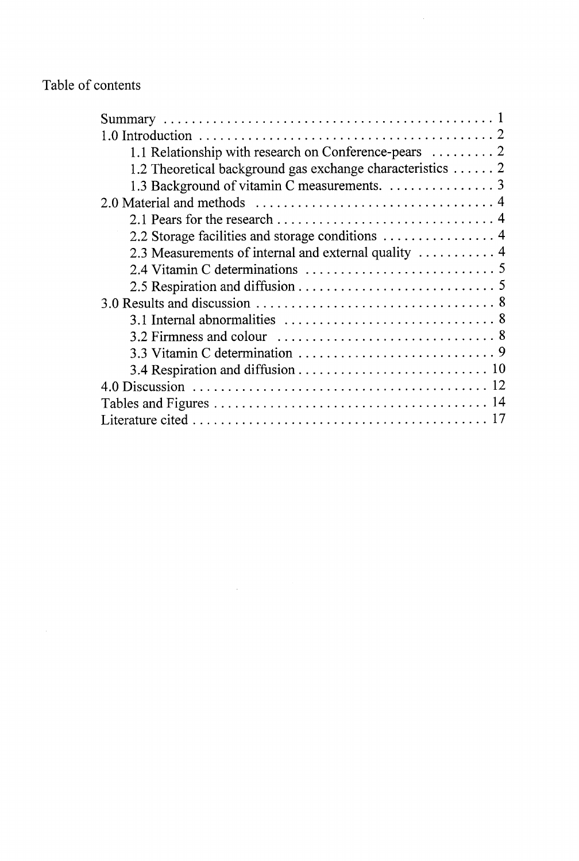# Table of contents

| 1.2 Theoretical background gas exchange characteristics 2                                          |
|----------------------------------------------------------------------------------------------------|
| 1.3 Background of vitamin C measurements. 3                                                        |
|                                                                                                    |
|                                                                                                    |
|                                                                                                    |
|                                                                                                    |
|                                                                                                    |
|                                                                                                    |
|                                                                                                    |
| 3.1 Internal abnormalities $\ldots \ldots \ldots \ldots \ldots \ldots \ldots \ldots \ldots \ldots$ |
|                                                                                                    |
|                                                                                                    |
|                                                                                                    |
|                                                                                                    |
|                                                                                                    |
|                                                                                                    |

 $\label{eq:2.1} \frac{1}{\sqrt{2\pi}}\int_{\mathbb{R}^3}\frac{1}{\sqrt{2\pi}}\int_{\mathbb{R}^3}\frac{1}{\sqrt{2\pi}}\int_{\mathbb{R}^3}\frac{1}{\sqrt{2\pi}}\int_{\mathbb{R}^3}\frac{1}{\sqrt{2\pi}}\int_{\mathbb{R}^3}\frac{1}{\sqrt{2\pi}}\frac{1}{\sqrt{2\pi}}\frac{1}{\sqrt{2\pi}}\frac{1}{\sqrt{2\pi}}\frac{1}{\sqrt{2\pi}}\frac{1}{\sqrt{2\pi}}\frac{1}{\sqrt{2\pi}}\frac{1}{\sqrt{2\pi}}$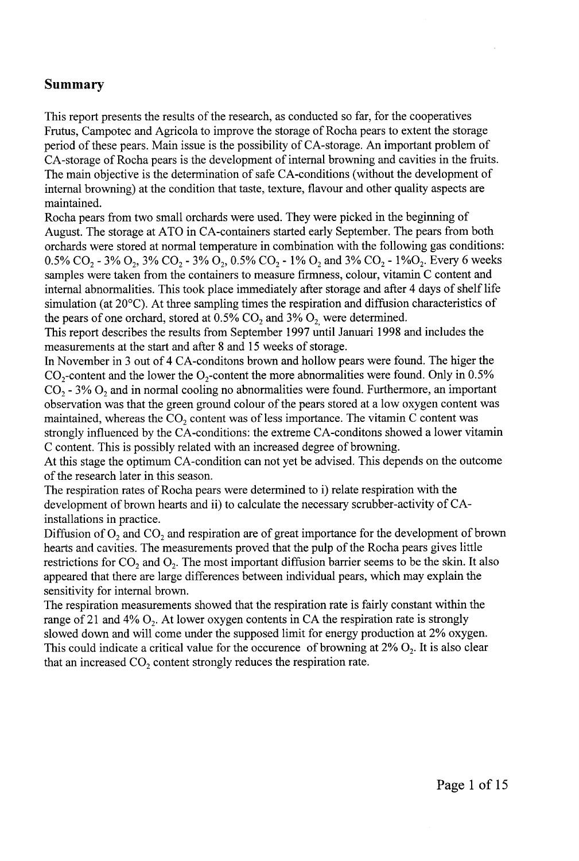# **Summary**

This report presents the results of the research, as conducted so far, for the cooperatives Frutus, Campotec and Agricola to improve the storage of Rocha pears to extent the storage period of these pears. Main issue is the possibility of CA-storage. An important problem of CA-storage of Rocha pears is the development of internal browning and cavities in the fruits. The main objective is the determination of safe CA-conditions (without the development of internal browning) at the condition that taste, texture, flavour and other quality aspects are maintained.

Rocha pears from two small orchards were used. They were picked in the beginning of August. The storage at ATO in CA-containers started early September. The pears from both orchards were stored at normal temperature in combination with the following gas conditions: 0.5% CO<sub>2</sub> - 3% O<sub>2</sub>, 3% CO<sub>2</sub> - 3% O<sub>2</sub>, 0.5% CO<sub>2</sub> - 1% O<sub>2</sub> and 3% CO<sub>2</sub> - 1% O<sub>2</sub>. Every 6 weeks samples were taken from the containers to measure firmness, colour, vitamin C content and internal abnormalities. This took place immediately after storage and after 4 days of shelf life simulation (at 20°C). At three sampling times the respiration and diffusion characteristics of the pears of one orchard, stored at  $0.5\%$  CO<sub>2</sub> and  $3\%$  O<sub>2</sub> were determined.

This report describes the results from September 1997 until Januari 1998 and includes the measurements at the start and after 8 and 15 weeks of storage.

In November in 3 out of 4 CA-conditons brown and hollow pears were found. The higer the  $CO_2$ -content and the lower the  $O_2$ -content the more abnormalities were found. Only in 0.5%  $CO<sub>2</sub>$  - 3%  $O<sub>2</sub>$  and in normal cooling no abnormalities were found. Furthermore, an important observation was that the green ground colour of the pears stored at a low oxygen content was maintained, whereas the  $CO<sub>2</sub>$  content was of less importance. The vitamin C content was strongly influenced by the CA-conditions: the extreme CA-conditons showed a lower vitamin C content. This is possibly related with an increased degree of browning.

At this stage the optimum CA-condition can not yet be advised. This depends on the outcome of the research later in this season.

The respiration rates of Rocha pears were determined to i) relate respiration with the development of brown hearts and ii) to calculate the necessary scrubber-activity of CAinstallations in practice.

Diffusion of  $O_2$  and  $CO_2$  and respiration are of great importance for the development of brown hearts and cavities. The measurements proved that the pulp of the Rocha pears gives little restrictions for  $CO_2$  and  $O_2$ . The most important diffusion barrier seems to be the skin. It also appeared that there are large differences between individual pears, which may explain the sensitivity for internal brown.

The respiration measurements showed that the respiration rate is fairly constant within the range of 21 and 4%  $O_2$ . At lower oxygen contents in CA the respiration rate is strongly slowed down and will come under the supposed limit for energy production at 2% oxygen. This could indicate a critical value for the occurence of browning at  $2\%$  O<sub>2</sub>. It is also clear that an increased  $CO<sub>2</sub>$  content strongly reduces the respiration rate.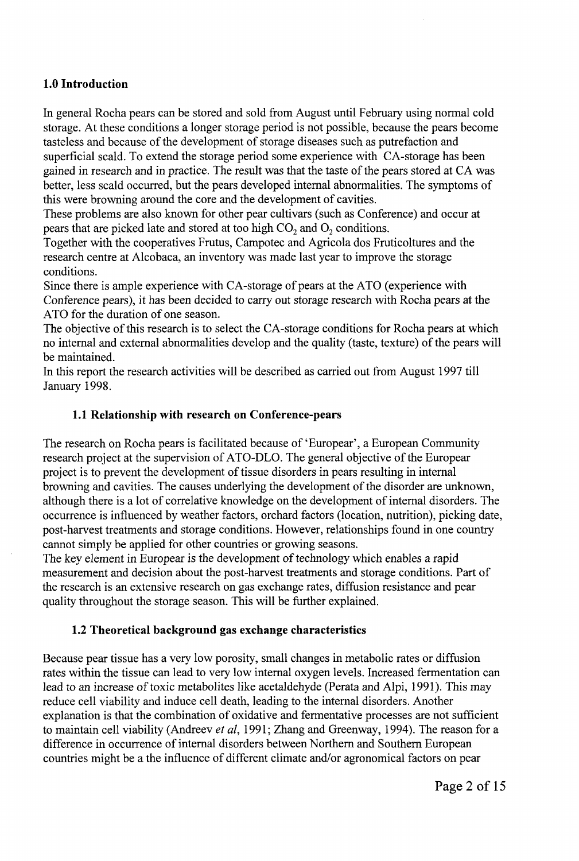# **1.0 Introduction**

In general Rocha pears can be stored and sold from August until February using normal cold storage. At these conditions a longer storage period is not possible, because the pears become tasteless and because of the development of storage diseases such as putrefaction and superficial scald. To extend the storage period some experience with CA-storage has been gained in research and in practice. The result was that the taste of the pears stored at CA was better, less scald occurred, but the pears developed internal abnormalities. The symptoms of this were browning around the core and the development of cavities.

These problems are also known for other pear cultivars (such as Conference) and occur at pears that are picked late and stored at too high  $CO<sub>2</sub>$  and  $O<sub>2</sub>$  conditions.

Together with the cooperatives Frutus, Campotec and Agricola dos Fruticoltures and the research centre at Alcobaca, an inventory was made last year to improve the storage conditions.

Since there is ample experience with CA-storage of pears at the ATO (experience with Conference pears), it has been decided to carry out storage research with Rocha pears at the ATO for the duration of one season.

The objective of this research is to select the CA-storage conditions for Rocha pears at which no internal and external abnormalities develop and the quality (taste, texture) of the pears will be maintained.

In this report the research activities will be described as carried out from August 1997 till January 1998.

# **1.1 Relationship with research on Conference-pears**

The research on Rocha pears is facilitated because of 'Europear', a European Community research project at the supervision of ATO-DLO. The general objective of the Europear project is to prevent the development of tissue disorders in pears resulting in internal browning and cavities. The causes underlying the development of the disorder are unknown, although there is a lot of correlative knowledge on the development of internal disorders. The occurrence is influenced by weather factors, orchard factors (location, nutrition), picking date, post-harvest treatments and storage conditions. However, relationships found in one country cannot simply be applied for other countries or growing seasons.

The key element in Europear is the development of technology which enables a rapid measurement and decision about the post-harvest treatments and storage conditions. Part of the research is an extensive research on gas exchange rates, diffusion resistance and pear quality throughout the storage season. This will be further explained.

# **1.2 Theoretical background gas exchange characteristics**

Because pear tissue has a very low porosity, small changes in metabolic rates or diffusion rates within the tissue can lead to very low internal oxygen levels. Increased fermentation can lead to an increase of toxic metabolites like acetaldehyde (Perata and Alpi, 1991). This may reduce cell viability and induce cell death, leading to the internal disorders. Another explanation is that the combination of oxidative and fermentative processes are not sufficient to maintain cell viability (Andreev *et al,* 1991; Zhang and Greenway, 1994). The reason for a difference in occurrence of internal disorders between Northern and Southern European countries might be a the influence of different climate and/or agronomical factors on pear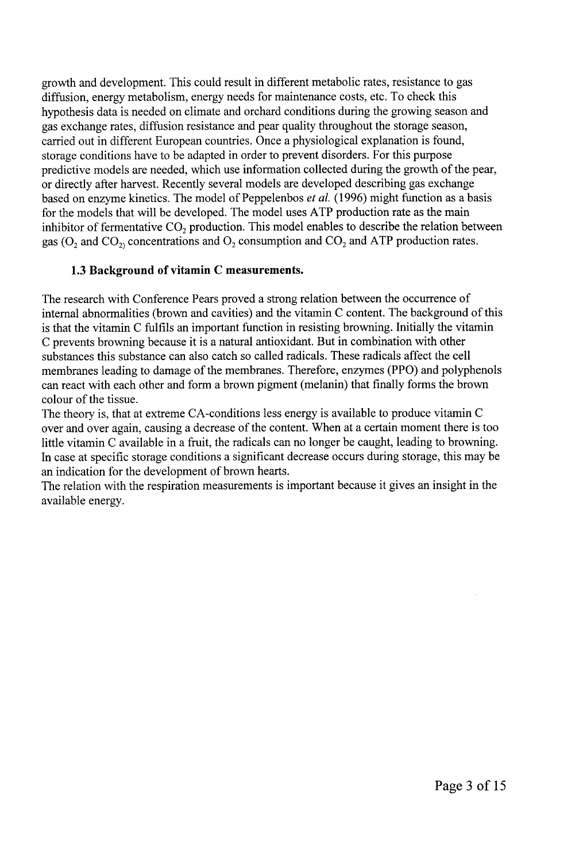growth and development. This could result in different metabolic rates, resistance to gas diffusion, energy metabolism, energy needs for maintenance costs, etc. To check this hypothesis data is needed on climate and orchard conditions during the growing season and gas exchange rates, diffusion resistance and pear quality throughout the storage season, carried out in different European countries. Once a physiological explanation is found, storage conditions have to be adapted in order to prevent disorders. For this purpose predictive models are needed, which use information collected during the growth of the pear, or directly after harvest. Recently several models are developed describing gas exchange based on enzyme kinetics. The model of Peppelenbos *et al.* (1996) might function as a basis for the models that will be developed. The model uses ATP production rate as the main inhibitor of fermentative  $CO_2$  production. This model enables to describe the relation between gas ( $O_2$  and  $CO_2$ ) concentrations and  $O_2$  consumption and  $CO_2$  and ATP production rates.

# **1.3 Background of vitamin C measurements.**

The research with Conference Pears proved a strong relation between the occurrence of internal abnormalities (brown and cavities) and the vitamin C content. The background of this is that the vitamin C fulfils an important function in resisting browning. Initially the vitamin C prevents browning because it is a natural antioxidant. But in combination with other substances this substance can also catch so called radicals. These radicals affect the cell membranes leading to damage of the membranes. Therefore, enzymes (PPO) and polyphenols can react with each other and form a brown pigment (melanin) that finally forms the brown colour of the tissue.

The theory is, that at extreme CA-conditions less energy is available to produce vitamin C over and over again, causing a decrease of the content. When at a certain moment there is too little vitamin C available in a fruit, the radicals can no longer be caught, leading to browning. In case at specific storage conditions a significant decrease occurs during storage, this may be an indication for the development of brown hearts.

The relation with the respiration measurements is important because it gives an insight in the available energy.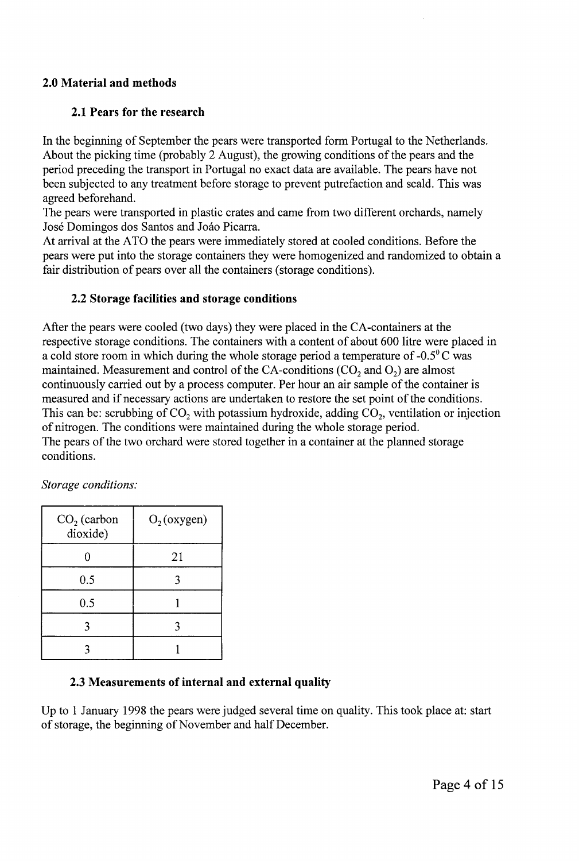# **2.0 Material and methods**

# **2.1 Pears for the research**

In the beginning of September the pears were transported form Portugal to the Netherlands. About the picking time (probably 2 August), the growing conditions of the pears and the period preceding the transport in Portugal no exact data are available. The pears have not been subjected to any treatment before storage to prevent putrefaction and scald. This was agreed beforehand.

The pears were transported in plastic crates and came from two different orchards, namely José Domingos dos Santos and Joâo Picarra.

At arrival at the ATO the pears were immediately stored at cooled conditions. Before the pears were put into the storage containers they were homogenized and randomized to obtain a fair distribution of pears over all the containers (storage conditions).

# **2.2 Storage facilities and storage conditions**

After the pears were cooled (two days) they were placed in the CA-containers at the respective storage conditions. The containers with a content of about 600 litre were placed in a cold store room in which during the whole storage period a temperature of  $-0.5^{\circ}$ C was maintained. Measurement and control of the CA-conditions  $(CO_2)$  and  $O_2$ ) are almost continuously carried out by a process computer. Per hour an air sample of the container is measured and if necessary actions are undertaken to restore the set point of the conditions. This can be: scrubbing of  $CO<sub>2</sub>$  with potassium hydroxide, adding  $CO<sub>2</sub>$ , ventilation or injection of nitrogen. The conditions were maintained during the whole storage period. The pears of the two orchard were stored together in a container at the planned storage conditions.

| $CO2$ (carbon<br>dioxide) | $O_2$ (oxygen) |
|---------------------------|----------------|
|                           | 21             |
| 0.5                       |                |
| 0.5                       |                |
|                           |                |
|                           |                |

*Storage conditions:* 

# **2.3 Measurements of internal and external quality**

Up to 1 January 1998 the pears were judged several time on quality. This took place at: start of storage, the beginning of November and half December.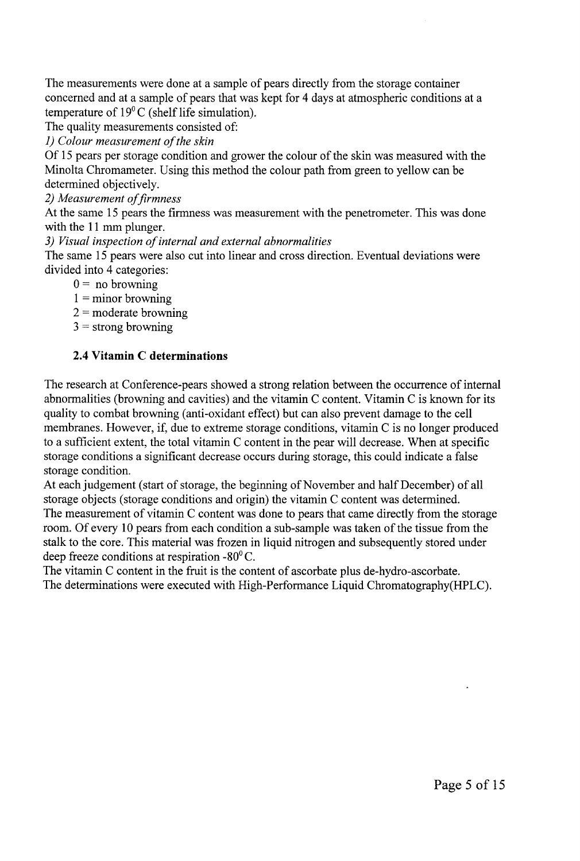The measurements were done at a sample of pears directly from the storage container concerned and at a sample of pears that was kept for 4 days at atmospheric conditions at a temperature of 19°C (shelf life simulation).

The quality measurements consisted of:

*1) Colour measurement of the skin* 

Of 15 pears per storage condition and grower the colour of the skin was measured with the Minolta Chromameter. Using this method the colour path from green to yellow can be determined objectively.

*2) Measurement of firmness* 

At the same 15 pears the firmness was measurement with the penetrometer. This was done with the 11 mm plunger.

*3) Visual inspection of internal and external abnormalities* 

The same 15 pears were also cut into linear and cross direction. Eventual deviations were divided into 4 categories:

- $0 =$  no browning
- $1 =$  minor browning
- $2 =$  moderate browning
- $3 =$  strong browning

# **2.4 Vitamin C determinations**

The research at Conference-pears showed a strong relation between the occurrence of internal abnormalities (browning and cavities) and the vitamin C content. Vitamin C is known for its quality to combat browning (anti-oxidant effect) but can also prevent damage to the cell membranes. However, if, due to extreme storage conditions, vitamin C is no longer produced to a sufficient extent, the total vitamin C content in the pear will decrease. When at specific storage conditions a significant decrease occurs during storage, this could indicate a false storage condition.

At each judgement (start of storage, the beginning of November and half December) of all storage objects (storage conditions and origin) the vitamin C content was determined. The measurement of vitamin C content was done to pears that came directly from the storage room. Of every 10 pears from each condition a sub-sample was taken of the tissue from the stalk to the core. This material was frozen in liquid nitrogen and subsequently stored under deep freeze conditions at respiration -80° C.

The vitamin C content in the fruit is the content of ascorbate plus de-hydro-ascorbate. The determinations were executed with High-Performance Liquid Chromatography(HPLC).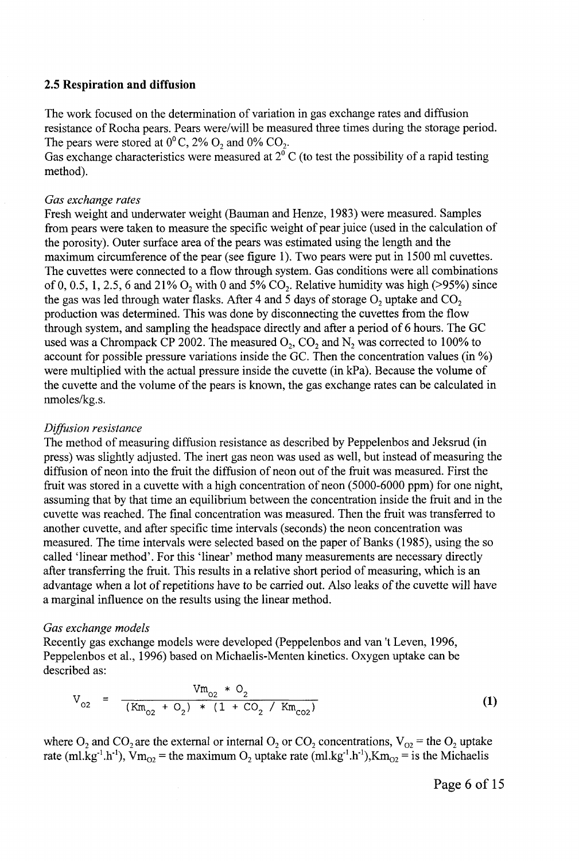### **2.5 Respiration and diffusion**

The work focused on the determination of variation in gas exchange rates and diffusion resistance of Rocha pears. Pears were/will be measured three times during the storage period. The pears were stored at  $0^0$  C,  $2\%$  O<sub>2</sub> and  $0\%$  CO<sub>2</sub>.

Gas exchange characteristics were measured at  $2^{\circ}$  C (to test the possibility of a rapid testing method).

### *Gas exchange rates*

Fresh weight and underwater weight (Bauman and Henze, 1983) were measured. Samples from pears were taken to measure the specific weight of pear juice (used in the calculation of the porosity). Outer surface area of the pears was estimated using the length and the maximum circumference of the pear (see figure 1). Two pears were put in 1500 ml cuvettes. The cuvettes were connected to a flow through system. Gas conditions were all combinations of 0, 0.5, 1, 2.5, 6 and 21%  $O_2$  with 0 and 5%  $CO_2$ . Relative humidity was high (>95%) since the gas was led through water flasks. After 4 and 5 days of storage  $O_2$  uptake and  $CO_2$ production was determined. This was done by disconnecting the cuvettes from the flow through system, and sampling the headspace directly and after a period of 6 hours. The GC used was a Chrompack CP 2002. The measured  $O_2$ ,  $CO_2$  and  $N_2$  was corrected to 100% to account for possible pressure variations inside the GC. Then the concentration values (in %) were multiplied with the actual pressure inside the cuvette (in kPa). Because the volume of the cuvette and the volume of the pears is known, the gas exchange rates can be calculated in nmoles/kg.s.

### *Diffusion resistance*

The method of measuring diffusion resistance as described by Peppelenbos and Jeksrud (in press) was slightly adjusted. The inert gas neon was used as well, but instead of measuring the diffusion of neon into the fruit the diffusion of neon out of the fruit was measured. First the fruit was stored in a cuvette with a high concentration of neon (5000-6000 ppm) for one night, assuming that by that time an equilibrium between the concentration inside the fruit and in the cuvette was reached. The final concentration was measured. Then the fruit was transferred to another cuvette, and after specific time intervals (seconds) the neon concentration was measured. The time intervals were selected based on the paper of Banks (1985), using the so called 'linear method'. For this 'linear' method many measurements are necessary directly after transferring the fruit. This results in a relative short period of measuring, which is an advantage when a lot of repetitions have to be carried out. Also leaks of the cuvette will have a marginal influence on the results using the linear method.

### *Gas exchange models*

Recently gas exchange models were developed (Peppelenbos and van't Leven, 1996, Peppelenbos et al., 1996) based on Michaelis-Menten kinetics. Oxygen uptake can be described as:

$$
V_{_{O2}} = \frac{Vm_{_{O2}} * O_2}{(Km_{_{O2}} + O_2) * (1 + CO_2 / Km_{_{CO2}})}
$$
 (1)

where  $O_2$  and  $CO_2$  are the external or internal  $O_2$  or  $CO_2$  concentrations,  $V_{O2}$  = the  $O_2$  uptake rate (ml.kg<sup>-1</sup>.h<sup>-1</sup>),  $\bar{V}m_{02}$  = the maximum O<sub>2</sub> uptake rate (ml.kg<sup>-1</sup>.h<sup>-1</sup>),Km<sub>02</sub> = is the Michaelis

Page 6 of 15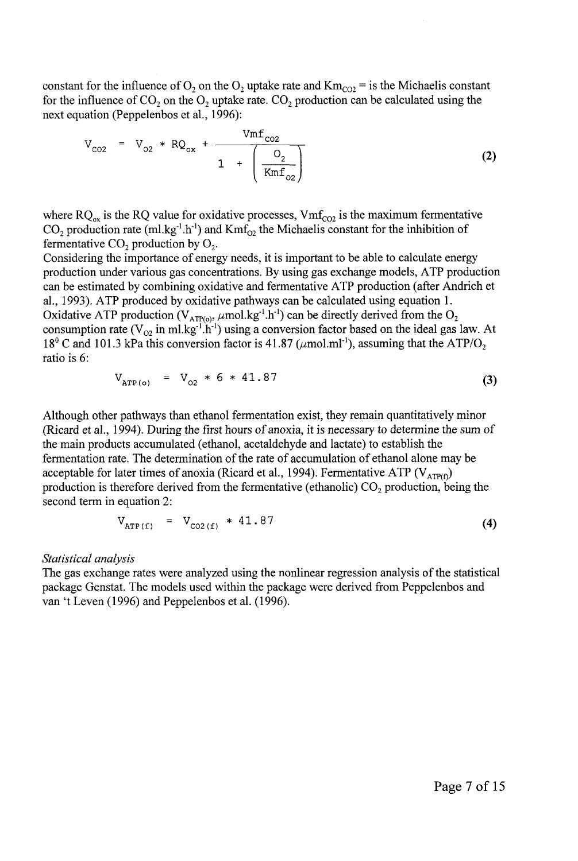constant for the influence of  $O_2$  on the  $O_2$  uptake rate and  $Km_{CO2}$  = is the Michaelis constant for the influence of  $CO_2$  on the  $O_2$  uptake rate.  $CO_2$  production can be calculated using the next equation (Peppelenbos et al., 1996):

$$
V_{CO2} = V_{O2} * RQ_{ox} + \frac{Vmf_{CO2}}{1 + \left(\frac{O_2}{Kmf_{O2}}\right)}
$$
 (2)

where  $RQ_{ox}$  is the RQ value for oxidative processes,  $Vmf_{CO2}$  is the maximum fermentative  $CO_2$  production rate (ml.kg<sup>-1</sup>.h<sup>-1</sup>) and Kmf<sub>02</sub> the Michaelis constant for the inhibition of fermentative  $CO<sub>2</sub>$  production by  $O<sub>2</sub>$ .

Considering the importance of energy needs, it is important to be able to calculate energy production under various gas concentrations. By using gas exchange models, ATP production can be estimated by combining oxidative and fermentative ATP production (after Andrich et al., 1993). ATP produced by oxidative pathways can be calculated using equation 1. Oxidative ATP production ( $V_{ATP(o)}$ ,  $\mu$ mol.kg<sup>-1</sup>.h<sup>-1</sup>) can be directly derived from the O<sub>2</sub> consumption rate ( $V_{02}$  in ml.kg<sup>-1</sup>.h<sup>-1</sup>) using a conversion factor based on the ideal gas law. At  $18^{\circ}$  C and 101.3 kPa this conversion factor is 41.87 ( $\mu$ mol.ml<sup>-1</sup>), assuming that the ATP/O<sub>2</sub> ratio is 6:

$$
V_{\text{ATP(o)}} = V_{o2} * 6 * 41.87 \tag{3}
$$

Although other pathways than ethanol fermentation exist, they remain quantitatively minor (Ricard et al., 1994). During the first hours of anoxia, it is necessary to determine the sum of the main products accumulated (ethanol, acetaldehyde and lactate) to establish the fermentation rate. The determination of the rate of accumulation of ethanol alone may be acceptable for later times of anoxia (Ricard et al., 1994). Fermentative ATP ( $V_{ATP(f)}$ ) production is therefore derived from the fermentative (ethanolic)  $CO<sub>2</sub>$  production, being the second term in equation 2:

$$
V_{\text{ATP}(f)} = V_{\text{CO2}(f)} * 41.87 \tag{4}
$$

### *Statistical analysis*

The gas exchange rates were analyzed using the nonlinear regression analysis of the statistical package Genstat. The models used within the package were derived from Peppelenbos and van't Leven (1996) and Peppelenbos et al. (1996).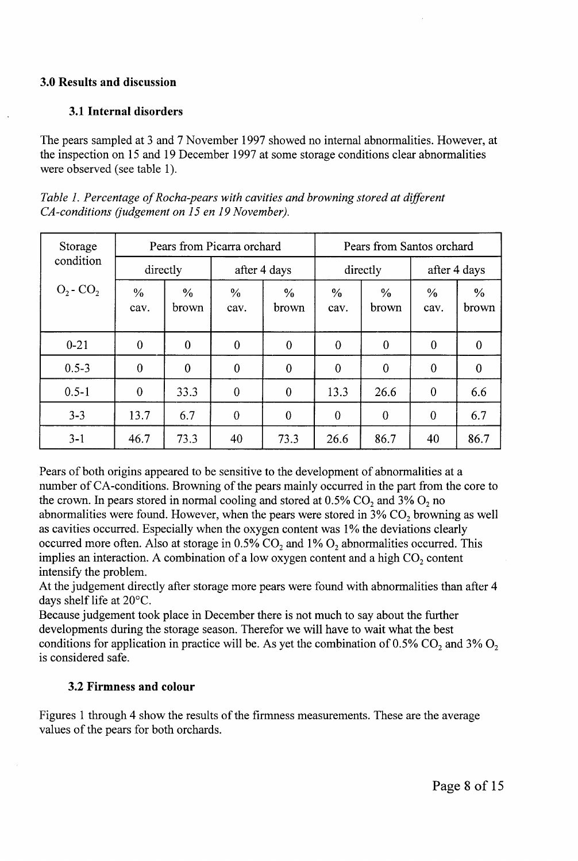## **3.0 Results and discussion**

# **3.1 Internal disorders**

The pears sampled at 3 and 7 November 1997 showed no internal abnormalities. However, at the inspection on 15 and 19 December 1997 at some storage conditions clear abnormalities were observed (see table 1).

*Table 1. Percentage of Rocha-pears with cavities and browning stored at different CA-conditions (judgement on 15 en 19 November).* 

| Storage        | Pears from Picarra orchard |                        |                       | Pears from Santos orchard |                       |                        |                       |               |
|----------------|----------------------------|------------------------|-----------------------|---------------------------|-----------------------|------------------------|-----------------------|---------------|
| condition      | directly                   |                        | after 4 days          |                           | directly              |                        | after 4 days          |               |
| $O_2$ - $CO_2$ | $\frac{0}{0}$<br>cav.      | $\frac{6}{6}$<br>brown | $\frac{0}{0}$<br>cav. | $\frac{0}{0}$<br>brown    | $\frac{0}{0}$<br>cav. | $\frac{0}{0}$<br>brown | $\frac{0}{0}$<br>cav. | $\%$<br>brown |
| $0 - 21$       | $\mathbf{0}$               | $\bf{0}$               | $\overline{0}$        | $\theta$                  | 0                     | $\boldsymbol{0}$       | $\theta$              | 0             |
| $0.5 - 3$      | $\overline{0}$             | $\bf{0}$               | $\theta$              | $\theta$                  | $\theta$              | $\overline{0}$         | $\theta$              | 0             |
| $0.5 - 1$      | $\theta$                   | 33.3                   | $\theta$              | $\boldsymbol{0}$          | 13.3                  | 26.6                   | $\mathbf{0}$          | 6.6           |
| $3 - 3$        | 13.7                       | 6.7                    | $\theta$              | $\bf{0}$                  | $\mathbf 0$           | $\theta$               | $\bf{0}$              | 6.7           |
| $3 - 1$        | 46.7                       | 73.3                   | 40                    | 73.3                      | 26.6                  | 86.7                   | 40                    | 86.7          |

Pears of both origins appeared to be sensitive to the development of abnormalities at a number of CA-conditions. Browning of the pears mainly occurred in the part from the core to the crown. In pears stored in normal cooling and stored at  $0.5\%$  CO<sub>2</sub> and  $3\%$  O<sub>2</sub> no abnormalities were found. However, when the pears were stored in  $3\%$  CO<sub>2</sub> browning as well as cavities occurred. Especially when the oxygen content was 1% the deviations clearly occurred more often. Also at storage in  $0.5\%$  CO<sub>2</sub> and 1% O<sub>2</sub> abnormalities occurred. This implies an interaction. A combination of a low oxygen content and a high  $CO<sub>2</sub>$  content intensify the problem.

At the judgement directly after storage more pears were found with abnormalities than after 4 days shelf life at 20°C.

Because judgement took place in December there is not much to say about the further developments during the storage season. Therefor we will have to wait what the best conditions for application in practice will be. As yet the combination of 0.5% CO<sub>2</sub> and 3% O<sub>2</sub> is considered safe.

# **3.2 Firmness and colour**

Figures 1 through 4 show the results of the firmness measurements. These are the average values of the pears for both orchards.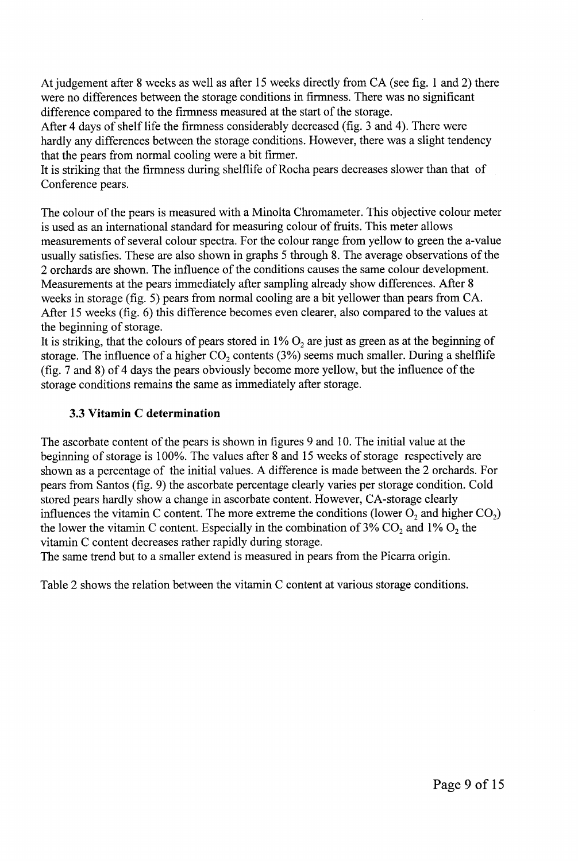At judgement after 8 weeks as well as after 15 weeks directly from CA (see fig. 1 and 2) there were no differences between the storage conditions in firmness. There was no significant difference compared to the firmness measured at the start of the storage.

After 4 days of shelf life the firmness considerably decreased (fig. 3 and 4). There were hardly any differences between the storage conditions. However, there was a slight tendency that the pears from normal cooling were a bit firmer.

It is striking that the firmness during shelflife of Rocha pears decreases slower than that of Conference pears.

The colour of the pears is measured with a Minolta Chromameter. This objective colour meter is used as an international standard for measuring colour of fruits. This meter allows measurements of several colour spectra. For the colour range from yellow to green the a-value usually satisfies. These are also shown in graphs 5 through 8. The average observations of the 2 orchards are shown. The influence of the conditions causes the same colour development. Measurements at the pears immediately after sampling already show differences. After 8 weeks in storage (fig. 5) pears from normal cooling are a bit yellower than pears from CA. After 15 weeks (fig. 6) this difference becomes even clearer, also compared to the values at the beginning of storage.

It is striking, that the colours of pears stored in  $1\%$  O<sub>2</sub> are just as green as at the beginning of storage. The influence of a higher  $CO_2$  contents (3%) seems much smaller. During a shelflife (fig. 7 and 8) of 4 days the pears obviously become more yellow, but the influence of the storage conditions remains the same as immediately after storage.

# **3.3 Vitamin C determination**

The ascorbate content of the pears is shown in figures 9 and 10. The initial value at the beginning of storage is 100%. The values after 8 and 15 weeks of storage respectively are shown as a percentage of the initial values. A difference is made between the 2 orchards. For pears from Santos (fig. 9) the ascorbate percentage clearly varies per storage condition. Cold stored pears hardly show a change in ascorbate content. However, CA-storage clearly influences the vitamin C content. The more extreme the conditions (lower  $O_2$  and higher CO<sub>2</sub>) the lower the vitamin C content. Especially in the combination of 3%  $CO_2$  and 1%  $O_2$  the vitamin C content decreases rather rapidly during storage.

The same trend but to a smaller extend is measured in pears from the Picarra origin.

Table 2 shows the relation between the vitamin C content at various storage conditions.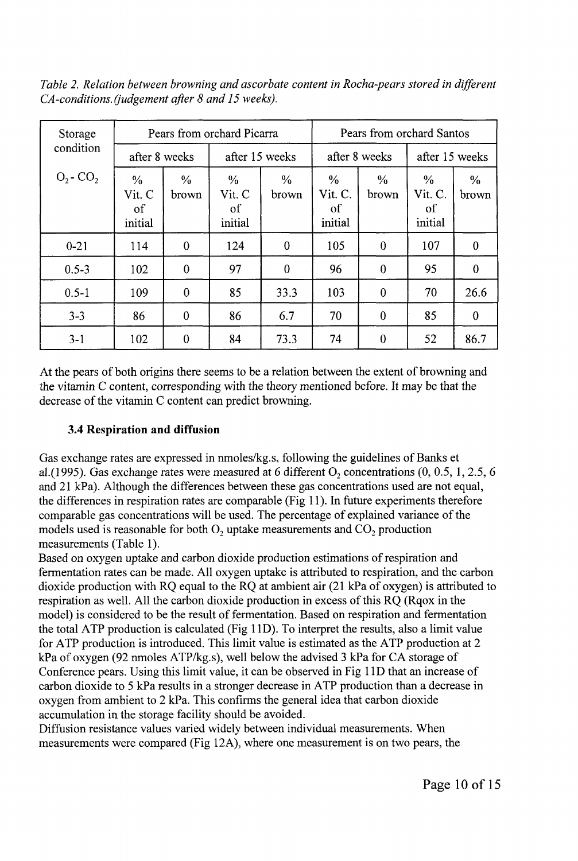*Table 2. Relation between browning and ascorbate content in Rocha-pears stored in different CA-conditions. (judgement after 8 and 15 weeks).* 

| Storage        | Pears from orchard Picarra               |                        |                                          |                        | Pears from orchard Santos                 |                        |                                           |               |
|----------------|------------------------------------------|------------------------|------------------------------------------|------------------------|-------------------------------------------|------------------------|-------------------------------------------|---------------|
| condition      | after 8 weeks                            |                        |                                          | after 15 weeks         |                                           | after 8 weeks          | after 15 weeks                            |               |
| $O_2$ - $CO_2$ | $\frac{0}{0}$<br>Vit. C<br>of<br>initial | $\frac{0}{0}$<br>brown | $\frac{0}{0}$<br>Vit. C<br>of<br>initial | $\frac{0}{0}$<br>brown | $\frac{0}{0}$<br>Vit. C.<br>of<br>initial | $\frac{0}{0}$<br>brown | $\frac{0}{0}$<br>Vit. C.<br>of<br>initial | $\%$<br>brown |
| $0 - 21$       | 114                                      | $\bf{0}$               | 124                                      | $\boldsymbol{0}$       | 105                                       | $\mathbf{0}$           | 107                                       | $\mathbf{0}$  |
| $0.5 - 3$      | 102                                      | $\bf{0}$               | 97                                       | $\mathbf{0}$           | 96                                        | $\boldsymbol{0}$       | 95                                        | $\bf{0}$      |
| $0.5 - 1$      | 109                                      | $\bf{0}$               | 85                                       | 33.3                   | 103                                       | $\theta$               | 70                                        | 26.6          |
| $3 - 3$        | 86                                       | $\bf{0}$               | 86                                       | 6.7                    | 70                                        | $\bf{0}$               | 85                                        | $\theta$      |
| $3 - 1$        | 102                                      | 0                      | 84                                       | 73.3                   | 74                                        | $\mathbf 0$            | 52                                        | 86.7          |

At the pears of both origins there seems to be a relation between the extent of browning and the vitamin C content, corresponding with the theory mentioned before. It may be that the decrease of the vitamin C content can predict browning.

# **3.4 Respiration and diffusion**

Gas exchange rates are expressed in nmoles/kg.s, following the guidelines of Banks et al.(1995). Gas exchange rates were measured at 6 different  $O_2$  concentrations (0, 0.5, 1, 2.5, 6 and 21 kPa). Although the differences between these gas concentrations used are not equal, the differences in respiration rates are comparable (Fig 11). In future experiments therefore comparable gas concentrations will be used. The percentage of explained variance of the models used is reasonable for both  $O_2$  uptake measurements and  $CO_2$  production measurements (Table 1).

Based on oxygen uptake and carbon dioxide production estimations of respiration and fermentation rates can be made. All oxygen uptake is attributed to respiration, and the carbon dioxide production with RQ equal to the RQ at ambient air (21 kPa of oxygen) is attributed to respiration as well. All the carbon dioxide production in excess of this RQ (Rqox in the model) is considered to be the result of fermentation. Based on respiration and fermentation the total ATP production is calculated (Fig 1 ID). To interpret the results, also a limit value for ATP production is introduced. This limit value is estimated as the ATP production at 2 kPa of oxygen (92 nmoles ATP/kg. s), well below the advised 3 kPa for CA storage of Conference pears. Using this limit value, it can be observed in Fig 1 ID that an increase of carbon dioxide to 5 kPa results in a stronger decrease in ATP production than a decrease in oxygen from ambient to 2 kPa. This confirms the general idea that carbon dioxide accumulation in the storage facility should be avoided.

Diffusion resistance values varied widely between individual measurements. When measurements were compared (Fig 12A), where one measurement is on two pears, the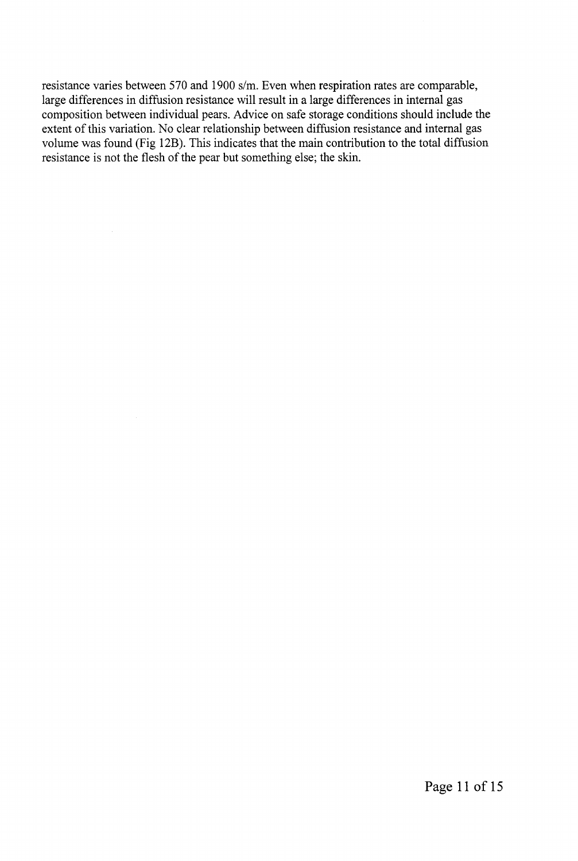resistance varies between 570 and 1900 s/m. Even when respiration rates are comparable, large differences in diffusion resistance will result in a large differences in internal gas composition between individual pears. Advice on safe storage conditions should include the extent of this variation. No clear relationship between diffusion resistance and internal gas volume was found (Fig 12B). This indicates that the main contribution to the total diffusion resistance is not the flesh of the pear but something else; the skin.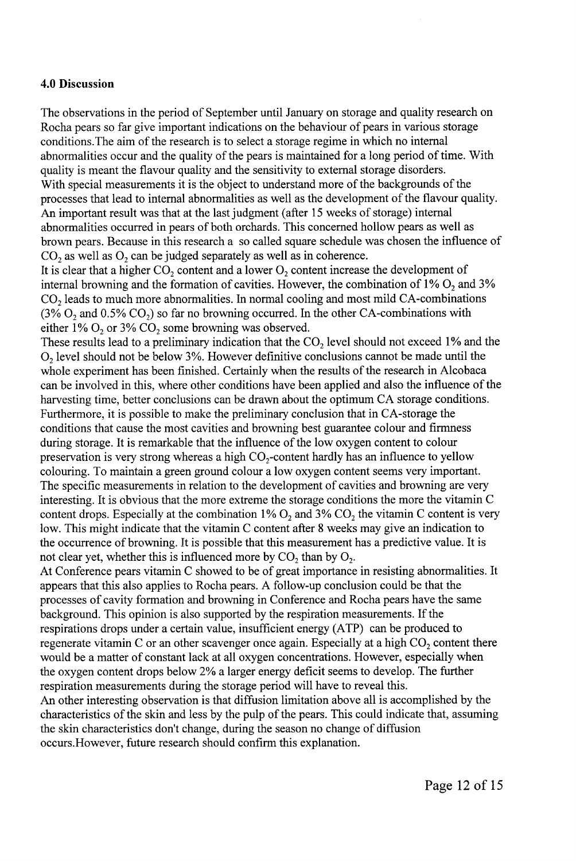### **4.0 Discussion**

The observations in the period of September until January on storage and quality research on Rocha pears so far give important indications on the behaviour of pears in various storage conditions.The aim of the research is to select a storage regime in which no internal abnormalities occur and the quality of the pears is maintained for a long period of time. With quality is meant the flavour quality and the sensitivity to external storage disorders. With special measurements it is the object to understand more of the backgrounds of the processes that lead to internal abnormalities as well as the development of the flavour quality. An important result was that at the last judgment (after 15 weeks of storage) internal abnormalities occurred in pears of both orchards. This concerned hollow pears as well as brown pears. Because in this research a so called square schedule was chosen the influence of  $CO<sub>2</sub>$  as well as  $O<sub>2</sub>$  can be judged separately as well as in coherence.

It is clear that a higher  $CO_2$  content and a lower  $O_2$  content increase the development of internal browning and the formation of cavities. However, the combination of  $1\%$  O<sub>2</sub> and  $3\%$  $CO<sub>2</sub>$  leads to much more abnormalities. In normal cooling and most mild CA-combinations  $(3\% O_2)$  and  $(0.5\% CO_2)$  so far no browning occurred. In the other CA-combinations with either 1%  $O_2$  or 3%  $CO_2$  some browning was observed.

These results lead to a preliminary indication that the  $CO<sub>2</sub>$  level should not exceed 1% and the  $O<sub>2</sub>$  level should not be below 3%. However definitive conclusions cannot be made until the whole experiment has been finished. Certainly when the results of the research in Alcobaca can be involved in this, where other conditions have been applied and also the influence of the harvesting time, better conclusions can be drawn about the optimum CA storage conditions. Furthermore, it is possible to make the preliminary conclusion that in CA-storage the conditions that cause the most cavities and browning best guarantee colour and firmness during storage. It is remarkable that the influence of the low oxygen content to colour preservation is very strong whereas a high  $CO<sub>2</sub>$ -content hardly has an influence to yellow colouring. To maintain a green ground colour a low oxygen content seems very important. The specific measurements in relation to the development of cavities and browning are very interesting. It is obvious that the more extreme the storage conditions the more the vitamin C content drops. Especially at the combination 1%  $O_2$  and 3%  $CO_2$  the vitamin C content is very low. This might indicate that the vitamin C content after 8 weeks may give an indication to the occurrence of browning. It is possible that this measurement has a predictive value. It is not clear yet, whether this is influenced more by  $CO<sub>2</sub>$  than by  $O<sub>2</sub>$ .

At Conference pears vitamin C showed to be of great importance in resisting abnormalities. It appears that this also applies to Rocha pears. A follow-up conclusion could be that the processes of cavity formation and browning in Conference and Rocha pears have the same background. This opinion is also supported by the respiration measurements. If the respirations drops under a certain value, insufficient energy (ATP) can be produced to regenerate vitamin C or an other scavenger once again. Especially at a high  $CO<sub>2</sub>$  content there would be a matter of constant lack at all oxygen concentrations. However, especially when the oxygen content drops below 2% a larger energy deficit seems to develop. The further respiration measurements during the storage period will have to reveal this.

An other interesting observation is that diffusion limitation above all is accomplished by the characteristics of the skin and less by the pulp of the pears. This could indicate that, assuming the skin characteristics don't change, during the season no change of diffusion occurs.However, future research should confirm this explanation.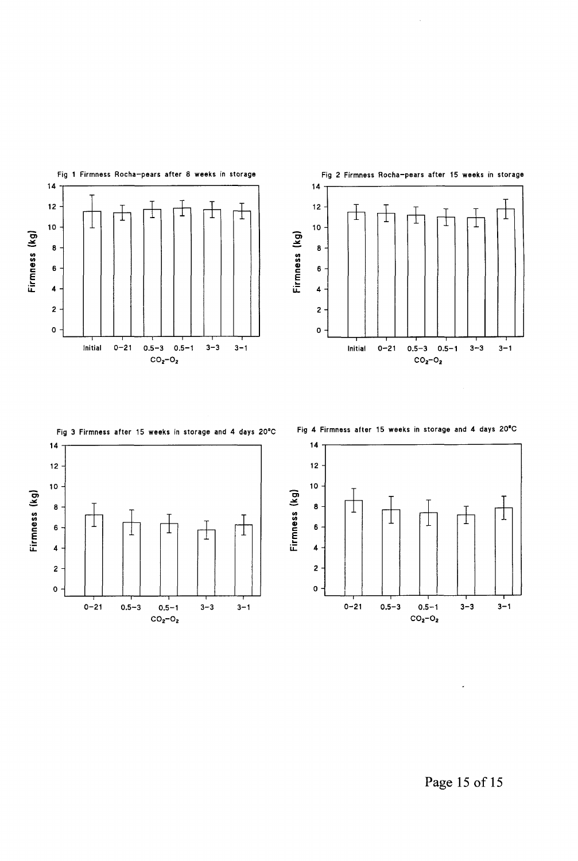







Page 15 of 15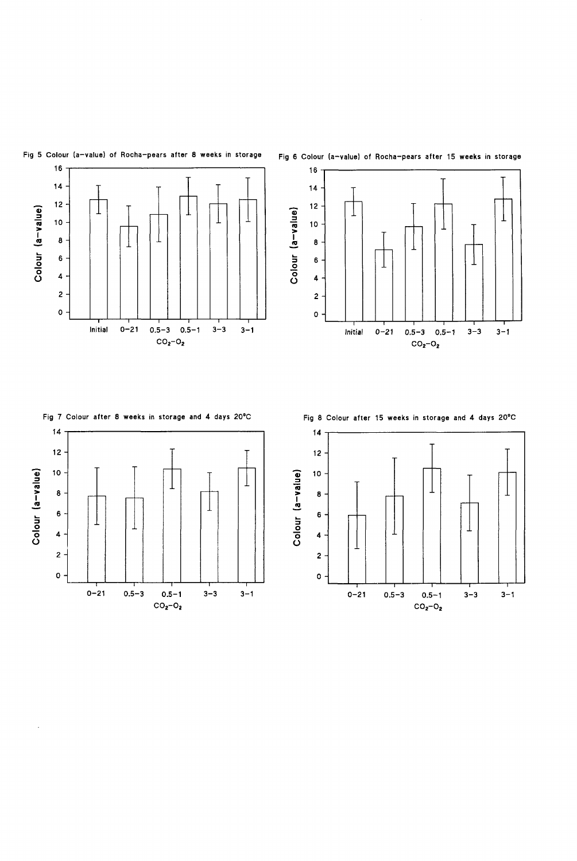

### **Fig 5 Colour (a-value) of Rocha-pears after 8 weeks in storage**





### **Fig 7 Colour after 8 weeks in storage and 4 days 20°C**



 $\ddot{\phantom{1}}$ 

**Fig 8 Colour after 15 weeks in storage and 4 days 20°C** 

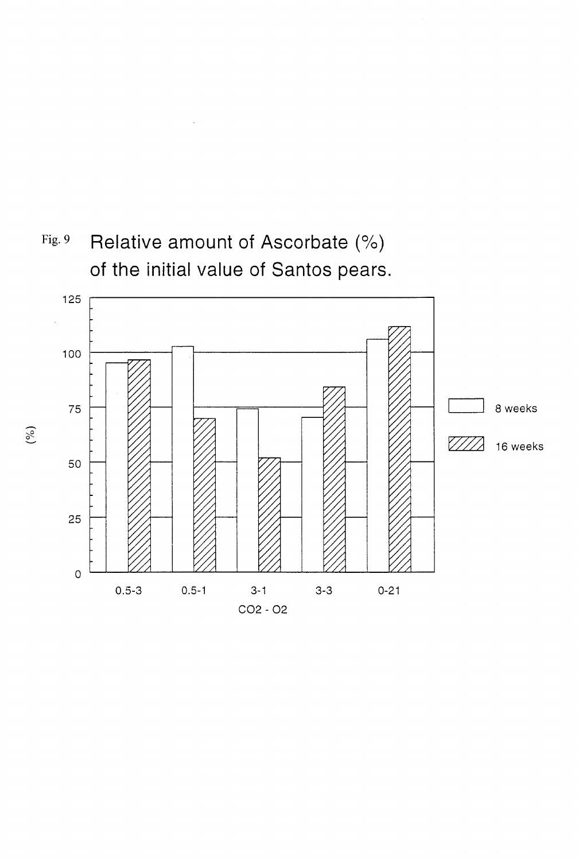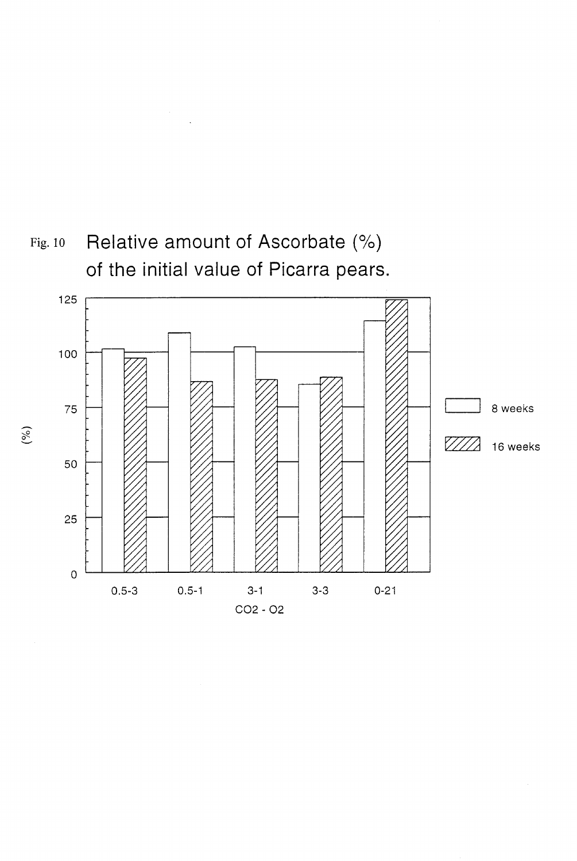# $\sim$



 $(\%)$ 

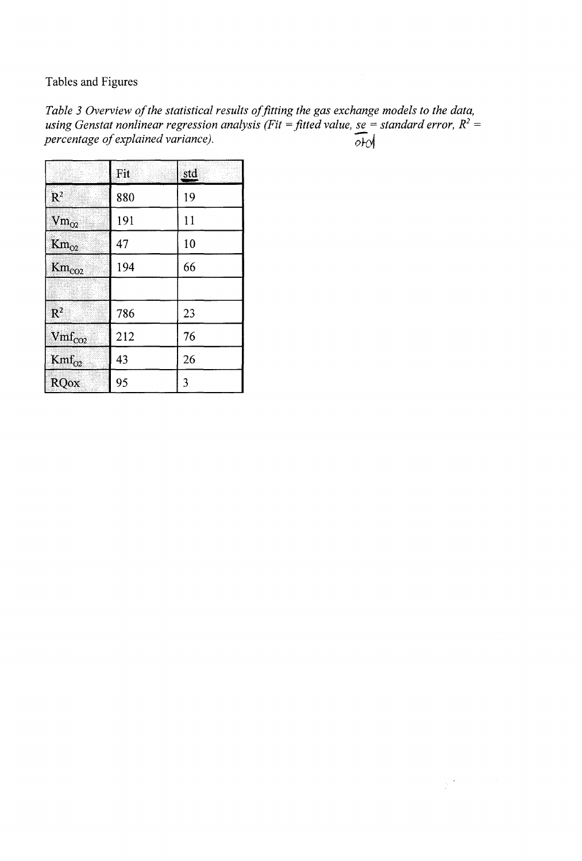Tables and Figures

Table 3 Overview of the statistical results of fitting the gas exchange models to the data, *using Genstat nonlinear regression analysis (Fit = fitted value, se = standard error, R2 = percentage of explained variance).*   $\overline{od}$ 

 $\frac{1}{2}$  ,  $\frac{3}{2}$ 

|                              | Fit | std |
|------------------------------|-----|-----|
| $\mathbb{R}^2$               | 880 | 19  |
| $\text{Vm}_{\text{O2}}$      | 191 | 11  |
| $\mathrm{Km}_{\mathrm{O2}}$  | 47  | 10  |
| $\mathrm{Km}_{\mathrm{CO2}}$ | 194 | 66  |
|                              |     |     |
| $\mathbb{R}^2$               | 786 | 23  |
| $Vmf_{CO2}$                  | 212 | 76  |
| $Kmf_{O2}$                   | 43  | 26  |
| RQox                         | 95  | 3   |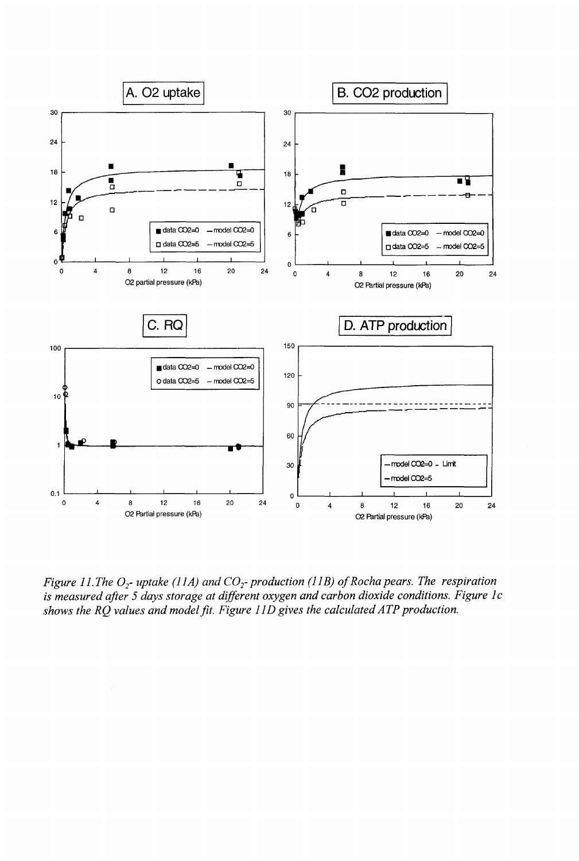

*Figure 11. The O<sub>2</sub>- uptake (11A) and CO<sub>2</sub>- production (11B) of Rocha pears. The respiration is measured after 5 days storage at different oxygen and carbon dioxide conditions. Figure lc shows the RQ values and model fit. Figure 11D gives the calculated ATP production.*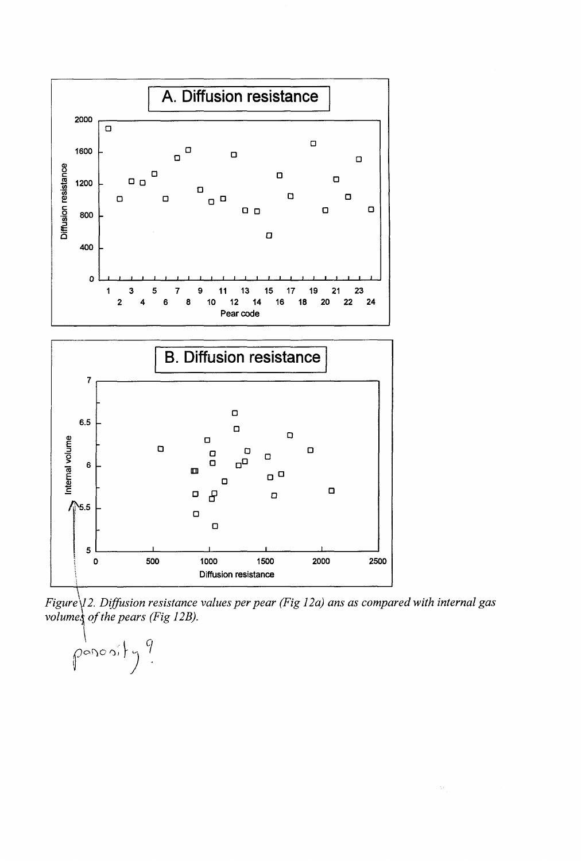

*Figure* $\sqrt{2}$ . Diffusion resistance values per pear (Fig 12a) ans as compared with internal gas *volumes of the pears (Fig 12B).* 

 $\overline{\Omega}$ 

 $\int_0^1$   $\rho$  or  $\circ$  of  $\frac{1}{2}$   $\int_0^1$